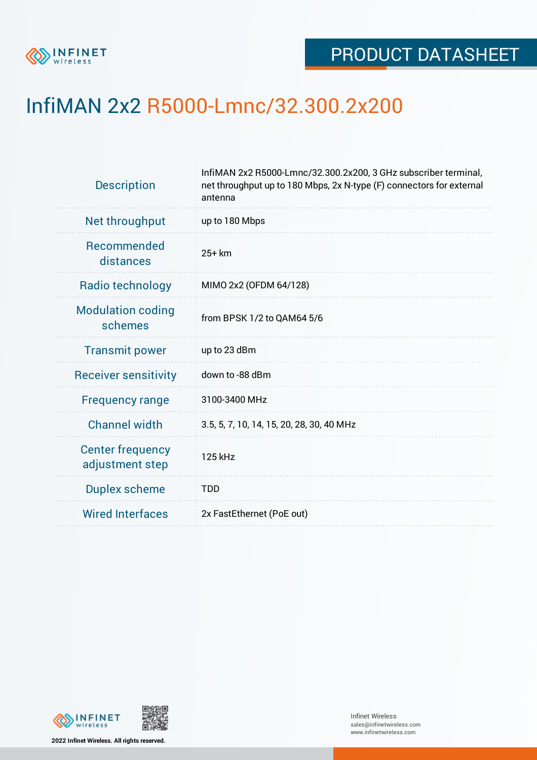

## InfiMAN 2x2 R5000-Lmnc/32.300.2x200

| InfiMAN 2x2 R5000-Lmnc/32.300.2x200, 3 GHz subscriber terminal,<br>net throughput up to 180 Mbps, 2x N-type (F) connectors for external<br>antenna |  |  |  |
|----------------------------------------------------------------------------------------------------------------------------------------------------|--|--|--|
| up to 180 Mbps                                                                                                                                     |  |  |  |
| $25+km$                                                                                                                                            |  |  |  |
| MIMO 2x2 (OFDM 64/128)                                                                                                                             |  |  |  |
| from BPSK 1/2 to QAM64 5/6                                                                                                                         |  |  |  |
| up to 23 dBm                                                                                                                                       |  |  |  |
| down to -88 dBm                                                                                                                                    |  |  |  |
| 3100-3400 MHz                                                                                                                                      |  |  |  |
| 3.5, 5, 7, 10, 14, 15, 20, 28, 30, 40 MHz                                                                                                          |  |  |  |
| 125 kHz                                                                                                                                            |  |  |  |
| <b>TDD</b>                                                                                                                                         |  |  |  |
| 2x FastEthernet (PoE out)                                                                                                                          |  |  |  |
|                                                                                                                                                    |  |  |  |



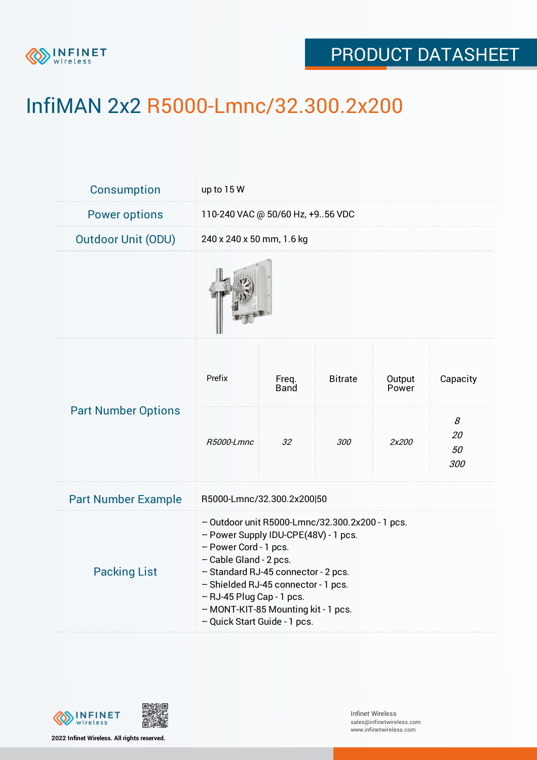

## PRODUCT DATASHEET

## InfiMAN 2x2 R5000-Lmnc/32.300.2x200

| <b>Consumption</b>         | up to 15 W                                                                                                                                                                                                                                                                                                                   |               |                |                 |                      |
|----------------------------|------------------------------------------------------------------------------------------------------------------------------------------------------------------------------------------------------------------------------------------------------------------------------------------------------------------------------|---------------|----------------|-----------------|----------------------|
| <b>Power options</b>       | 110-240 VAC @ 50/60 Hz, +956 VDC                                                                                                                                                                                                                                                                                             |               |                |                 |                      |
| <b>Outdoor Unit (ODU)</b>  | 240 x 240 x 50 mm, 1.6 kg                                                                                                                                                                                                                                                                                                    |               |                |                 |                      |
|                            |                                                                                                                                                                                                                                                                                                                              |               |                |                 |                      |
| <b>Part Number Options</b> | Prefix                                                                                                                                                                                                                                                                                                                       | Freq.<br>Band | <b>Bitrate</b> | Output<br>Power | Capacity             |
|                            | R5000-Lmnc                                                                                                                                                                                                                                                                                                                   | 32            | <i>300</i>     | 2x200           | 8<br>20<br>50<br>300 |
| <b>Part Number Example</b> | R5000-Lmnc/32.300.2x200 50                                                                                                                                                                                                                                                                                                   |               |                |                 |                      |
| <b>Packing List</b>        | - Outdoor unit R5000-Lmnc/32.300.2x200 - 1 pcs.<br>- Power Supply IDU-CPE(48V) - 1 pcs.<br>- Power Cord - 1 pcs.<br>- Cable Gland - 2 pcs.<br>- Standard RJ-45 connector - 2 pcs.<br>- Shielded RJ-45 connector - 1 pcs.<br>- RJ-45 Plug Cap - 1 pcs.<br>- MONT-KIT-85 Mounting kit - 1 pcs.<br>- Quick Start Guide - 1 pcs. |               |                |                 |                      |



**2022 Infinet Wireless. All rights reserved.**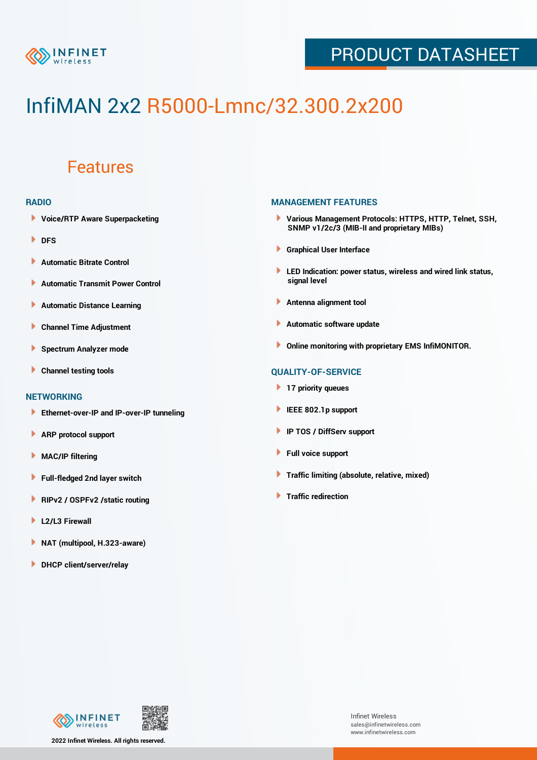

## PRODUCT DATASHEET

# InfiMAN 2x2 R5000-Lmnc/32.300.2x200

### Features

#### **RADIO**

- **Voice/RTP Aware Superpacketing**
- **DFS**
- **Automatic Bitrate Control** Þ
- Þ **Automatic Transmit Power Control**
- Þ **Automatic Distance Learning**
- Þ **Channel Time Adjustment**
- Þ **Spectrum Analyzer mode**
- Þ **Channel testing tools**

#### **NETWORKING**

- **Ethernet-over-IP and IP-over-IP tunneling**
- Þ **ARP protocol support**
- Þ **MAC/IP filtering**
- Þ **Full-fledged 2nd layer switch**
- Þ **RIPv2 / OSPFv2 /static routing**
- ۱ **L2/L3 Firewall**
- ١ **NAT (multipool, H.323-aware)**
- **DHCP client/server/relay**

#### **MANAGEMENT FEATURES**

- **Various Management Protocols: HTTPS, HTTP, Telnet, SSH, SNMP v1/2c/3 (MIB-II and proprietary MIBs)**
- **Graphical User Interface**
- **LED Indication: power status, wireless and wired link status, signal level**
- **Antenna alignment tool**
- ٠ **Automatic software update**
- **Online monitoring with proprietary EMS InfiMONITOR.**

#### **QUALITY-OF-SERVICE**

- **17 priority queues**
- **IEEE 802.1p support**
- **IP TOS / DiffServ support**
- ٠ **Full voice support**
- **Traffic limiting (absolute, relative, mixed)** ٠
- **Traffic redirection**